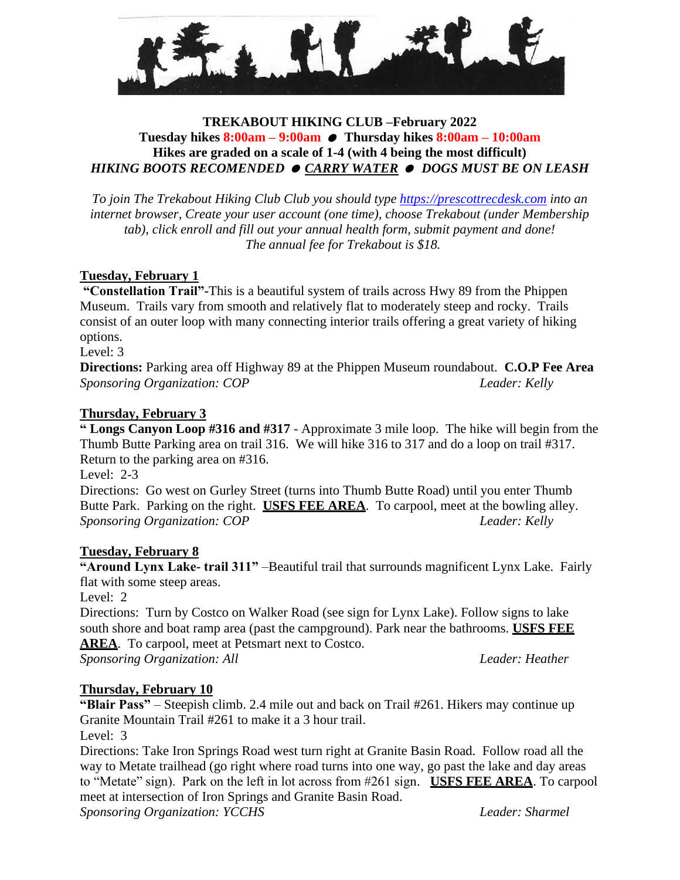

## **TREKABOUT HIKING CLUB –February 2022 Tuesday hikes 8:00am – 9:00am Thursday hikes 8:00am – 10:00am Hikes are graded on a scale of 1-4 (with 4 being the most difficult)** *HIKING BOOTS RECOMENDED CARRY WATER DOGS MUST BE ON LEASH*

*To join The Trekabout Hiking Club Club you should type [https://prescottrecdesk.com](https://prescottrecdesk.com/) into an internet browser, Create your user account (one time), choose Trekabout (under Membership tab), click enroll and fill out your annual health form, submit payment and done! The annual fee for Trekabout is \$18.*

## **Tuesday, February 1**

**"Constellation Trail"-**This is a beautiful system of trails across Hwy 89 from the Phippen Museum. Trails vary from smooth and relatively flat to moderately steep and rocky. Trails consist of an outer loop with many connecting interior trails offering a great variety of hiking options.

Level: 3

**Directions:** Parking area off Highway 89 at the Phippen Museum roundabout. **C.O.P Fee Area** *Sponsoring Organization: COP Leader: Kelly*

## **Thursday, February 3**

**" Longs Canyon Loop #316 and #317** - Approximate 3 mile loop. The hike will begin from the Thumb Butte Parking area on trail 316. We will hike 316 to 317 and do a loop on trail #317. Return to the parking area on #316.

Level: 2-3

Directions: Go west on Gurley Street (turns into Thumb Butte Road) until you enter Thumb Butte Park. Parking on the right. **USFS FEE AREA**. To carpool, meet at the bowling alley. *Sponsoring Organization: COP Leader: Kelly*

## **Tuesday, February 8**

**"Around Lynx Lake- trail 311"** –Beautiful trail that surrounds magnificent Lynx Lake. Fairly flat with some steep areas.

Level: 2

Directions: Turn by Costco on Walker Road (see sign for Lynx Lake). Follow signs to lake south shore and boat ramp area (past the campground). Park near the bathrooms. **USFS FEE AREA**. To carpool, meet at Petsmart next to Costco.

*Sponsoring Organization: All Leader: Heather*

## **Thursday, February 10**

**"Blair Pass"** – Steepish climb. 2.4 mile out and back on Trail #261. Hikers may continue up Granite Mountain Trail #261 to make it a 3 hour trail.

Level: 3

Directions: Take Iron Springs Road west turn right at Granite Basin Road. Follow road all the way to Metate trailhead (go right where road turns into one way, go past the lake and day areas to "Metate" sign). Park on the left in lot across from #261 sign. **USFS FEE AREA**. To carpool meet at intersection of Iron Springs and Granite Basin Road.

*Sponsoring Organization: YCCHS Leader: Sharmel*